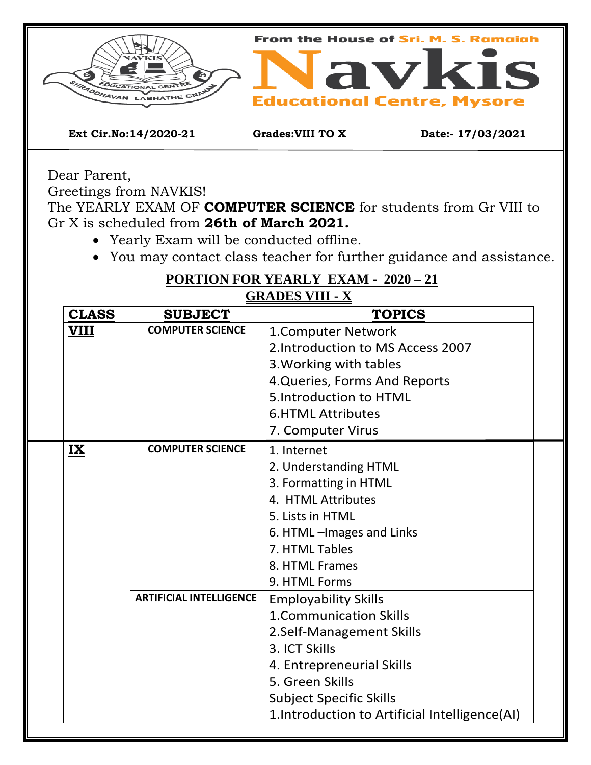

Dear Parent,

Greetings from NAVKIS!

The YEARLY EXAM OF **COMPUTER SCIENCE** for students from Gr VIII to Gr X is scheduled from **26th of March 2021.**

- Yearly Exam will be conducted offline.
- You may contact class teacher for further guidance and assistance.

**PORTION FOR YEARLY EXAM - 2020 – 21 GRADES VIII - X**

| <u>CLASS</u> | GRADLƏ VIII - Л<br><b>SUBJECT</b><br><b>TOPICS</b> |                                                |  |  |  |  |
|--------------|----------------------------------------------------|------------------------------------------------|--|--|--|--|
|              | <b>COMPUTER SCIENCE</b>                            |                                                |  |  |  |  |
| <u>VIII</u>  |                                                    | 1. Computer Network                            |  |  |  |  |
|              |                                                    | 2. Introduction to MS Access 2007              |  |  |  |  |
|              |                                                    | 3. Working with tables                         |  |  |  |  |
|              |                                                    | 4. Queries, Forms And Reports                  |  |  |  |  |
|              |                                                    | 5.Introduction to HTML                         |  |  |  |  |
|              |                                                    | <b>6.HTML Attributes</b>                       |  |  |  |  |
|              |                                                    | 7. Computer Virus                              |  |  |  |  |
| $\mathbf{K}$ | <b>COMPUTER SCIENCE</b>                            | 1. Internet                                    |  |  |  |  |
|              |                                                    | 2. Understanding HTML                          |  |  |  |  |
|              |                                                    | 3. Formatting in HTML                          |  |  |  |  |
|              |                                                    | 4. HTML Attributes                             |  |  |  |  |
|              |                                                    | 5. Lists in HTML                               |  |  |  |  |
|              |                                                    | 6. HTML - Images and Links                     |  |  |  |  |
|              |                                                    | 7. HTML Tables                                 |  |  |  |  |
|              |                                                    | 8. HTML Frames                                 |  |  |  |  |
|              |                                                    | 9. HTML Forms                                  |  |  |  |  |
|              | <b>ARTIFICIAL INTELLIGENCE</b>                     | <b>Employability Skills</b>                    |  |  |  |  |
|              |                                                    | <b>1.Communication Skills</b>                  |  |  |  |  |
|              |                                                    | 2.Self-Management Skills                       |  |  |  |  |
|              |                                                    | 3. ICT Skills                                  |  |  |  |  |
|              |                                                    | 4. Entrepreneurial Skills                      |  |  |  |  |
|              |                                                    | 5. Green Skills                                |  |  |  |  |
|              |                                                    | <b>Subject Specific Skills</b>                 |  |  |  |  |
|              |                                                    | 1. Introduction to Artificial Intelligence(AI) |  |  |  |  |